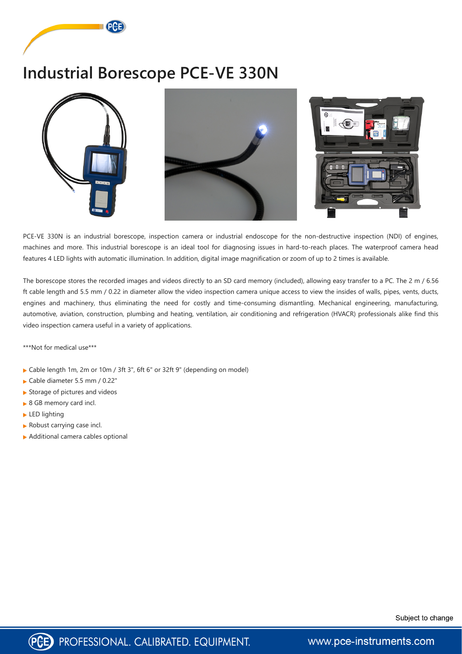



PCE-VE 330N is an industrial borescope, inspection camera or industrial endoscope for the non-destructive inspection (NDI) of engines, machines and more. This industrial borescope is an ideal tool for diagnosing issues in hard-to-reach places. The waterproof camera head features 4 LED lights with automatic illumination. In addition, digital image magnification or zoom of up to 2 times is available.

The borescope stores the recorded images and videos directly to an SD card memory (included), allowing easy transfer to a PC. The 2 m / 6.56 ft cable length and 5.5 mm / 0.22 in diameter allow the video inspection camera unique access to view the insides of walls, pipes, vents, ducts, engines and machinery, thus eliminating the need for costly and time-consuming dismantling. Mechanical engineering, manufacturing, automotive, aviation, construction, plumbing and heating, ventilation, air conditioning and refrigeration (HVACR) professionals alike find this video inspection camera useful in a variety of applications.

\*\*\*Not for medical use\*\*\*

- ▶ Cable length 1m, 2m or 10m / 3ft 3", 6ft 6" or 32ft 9" (depending on model)
- Cable diameter 5.5 mm / 0.22"
- Storage of pictures and videos
- ▶ 8 GB memory card incl.
- ► LED lighting
- Robust carrying case incl.
- ▶ Additional camera cables optional





www.pce-instruments.com